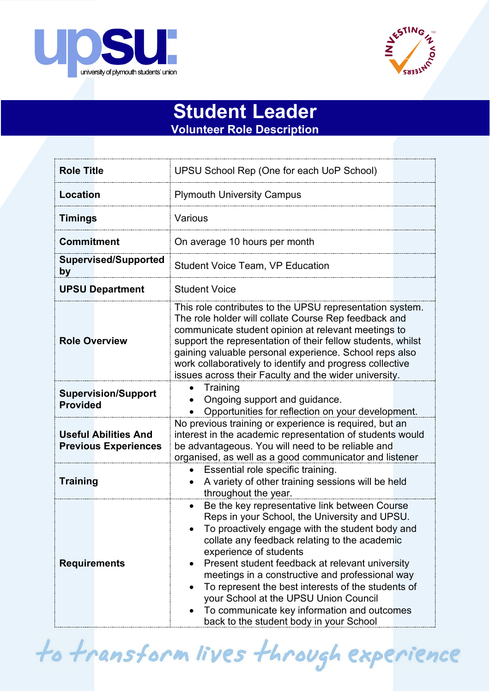



## **Student Leader Volunteer Role Description**

| <b>Role Title</b>                                          | UPSU School Rep (One for each UoP School)                                                                                                                                                                                                                                                                                                                                                                                                                                                                                                |
|------------------------------------------------------------|------------------------------------------------------------------------------------------------------------------------------------------------------------------------------------------------------------------------------------------------------------------------------------------------------------------------------------------------------------------------------------------------------------------------------------------------------------------------------------------------------------------------------------------|
| <b>Location</b>                                            | <b>Plymouth University Campus</b>                                                                                                                                                                                                                                                                                                                                                                                                                                                                                                        |
| <b>Timings</b>                                             | Various                                                                                                                                                                                                                                                                                                                                                                                                                                                                                                                                  |
| <b>Commitment</b>                                          | On average 10 hours per month                                                                                                                                                                                                                                                                                                                                                                                                                                                                                                            |
| <b>Supervised/Supported</b><br>by                          | <b>Student Voice Team, VP Education</b>                                                                                                                                                                                                                                                                                                                                                                                                                                                                                                  |
| <b>UPSU Department</b>                                     | <b>Student Voice</b>                                                                                                                                                                                                                                                                                                                                                                                                                                                                                                                     |
| <b>Role Overview</b>                                       | This role contributes to the UPSU representation system.<br>The role holder will collate Course Rep feedback and<br>communicate student opinion at relevant meetings to<br>support the representation of their fellow students, whilst<br>gaining valuable personal experience. School reps also<br>work collaboratively to identify and progress collective<br>issues across their Faculty and the wider university.                                                                                                                    |
| <b>Supervision/Support</b><br><b>Provided</b>              | Training<br>Ongoing support and guidance.<br>Opportunities for reflection on your development.                                                                                                                                                                                                                                                                                                                                                                                                                                           |
| <b>Useful Abilities And</b><br><b>Previous Experiences</b> | No previous training or experience is required, but an<br>interest in the academic representation of students would<br>be advantageous. You will need to be reliable and<br>organised, as well as a good communicator and listener                                                                                                                                                                                                                                                                                                       |
| <b>Training</b>                                            | Essential role specific training.<br>A variety of other training sessions will be held<br>throughout the year.                                                                                                                                                                                                                                                                                                                                                                                                                           |
| <b>Requirements</b>                                        | Be the key representative link between Course<br>$\bullet$<br>Reps in your School, the University and UPSU.<br>To proactively engage with the student body and<br>collate any feedback relating to the academic<br>experience of students<br>Present student feedback at relevant university<br>meetings in a constructive and professional way<br>To represent the best interests of the students of<br>your School at the UPSU Union Council<br>To communicate key information and outcomes<br>back to the student body in your School |

to transform lives through experience